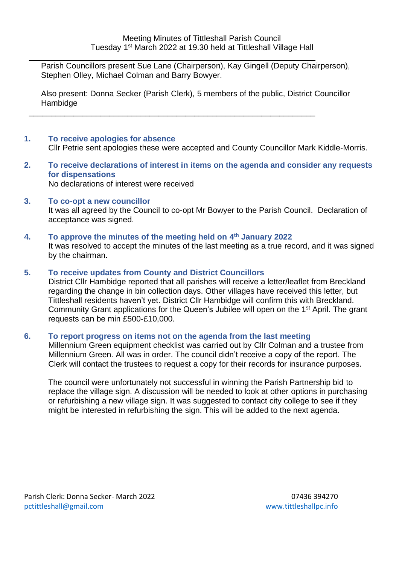Parish Councillors present Sue Lane (Chairperson), Kay Gingell (Deputy Chairperson), Stephen Olley, Michael Colman and Barry Bowyer.

\_\_\_\_\_\_\_\_\_\_\_\_\_\_\_\_\_\_\_\_\_\_\_\_\_\_\_\_\_\_\_\_\_\_\_\_\_\_\_\_\_\_\_\_\_\_\_\_\_\_\_\_\_\_\_\_\_\_\_\_\_\_\_\_

\_\_\_\_\_\_\_\_\_\_\_\_\_\_\_\_\_\_\_\_\_\_\_\_\_\_\_\_\_\_\_\_\_\_\_\_\_\_\_\_\_\_\_\_\_\_\_\_\_\_\_\_\_\_\_\_\_\_\_\_\_\_\_\_

Also present: Donna Secker (Parish Clerk), 5 members of the public, District Councillor Hambidge

## **1. To receive apologies for absence**

Cllr Petrie sent apologies these were accepted and County Councillor Mark Kiddle-Morris.

**2. To receive declarations of interest in items on the agenda and consider any requests for dispensations**

No declarations of interest were received

**3. To co-opt a new councillor** 

It was all agreed by the Council to co-opt Mr Bowyer to the Parish Council. Declaration of acceptance was signed.

**4. To approve the minutes of the meeting held on 4 th January 2022** It was resolved to accept the minutes of the last meeting as a true record, and it was signed by the chairman.

#### **5. To receive updates from County and District Councillors**

District Cllr Hambidge reported that all parishes will receive a letter/leaflet from Breckland regarding the change in bin collection days. Other villages have received this letter, but Tittleshall residents haven't yet. District Cllr Hambidge will confirm this with Breckland. Community Grant applications for the Queen's Jubilee will open on the 1<sup>st</sup> April. The grant requests can be min £500-£10,000.

#### **6. To report progress on items not on the agenda from the last meeting**

Millennium Green equipment checklist was carried out by Cllr Colman and a trustee from Millennium Green. All was in order. The council didn't receive a copy of the report. The Clerk will contact the trustees to request a copy for their records for insurance purposes.

The council were unfortunately not successful in winning the Parish Partnership bid to replace the village sign. A discussion will be needed to look at other options in purchasing or refurbishing a new village sign. It was suggested to contact city college to see if they might be interested in refurbishing the sign. This will be added to the next agenda.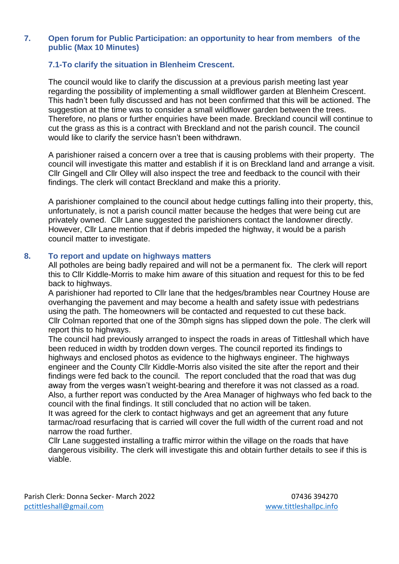#### **7. Open forum for Public Participation: an opportunity to hear from members of the public (Max 10 Minutes)**

## **7.1-To clarify the situation in Blenheim Crescent.**

The council would like to clarify the discussion at a previous parish meeting last year regarding the possibility of implementing a small wildflower garden at Blenheim Crescent. This hadn't been fully discussed and has not been confirmed that this will be actioned. The suggestion at the time was to consider a small wildflower garden between the trees. Therefore, no plans or further enquiries have been made. Breckland council will continue to cut the grass as this is a contract with Breckland and not the parish council. The council would like to clarify the service hasn't been withdrawn.

A parishioner raised a concern over a tree that is causing problems with their property. The council will investigate this matter and establish if it is on Breckland land and arrange a visit. Cllr Gingell and Cllr Olley will also inspect the tree and feedback to the council with their findings. The clerk will contact Breckland and make this a priority.

A parishioner complained to the council about hedge cuttings falling into their property, this, unfortunately, is not a parish council matter because the hedges that were being cut are privately owned. Cllr Lane suggested the parishioners contact the landowner directly. However, Cllr Lane mention that if debris impeded the highway, it would be a parish council matter to investigate.

#### **8. To report and update on highways matters**

All potholes are being badly repaired and will not be a permanent fix. The clerk will report this to Cllr Kiddle-Morris to make him aware of this situation and request for this to be fed back to highways.

A parishioner had reported to Cllr lane that the hedges/brambles near Courtney House are overhanging the pavement and may become a health and safety issue with pedestrians using the path. The homeowners will be contacted and requested to cut these back. Cllr Colman reported that one of the 30mph signs has slipped down the pole. The clerk will report this to highways.

The council had previously arranged to inspect the roads in areas of Tittleshall which have been reduced in width by trodden down verges. The council reported its findings to highways and enclosed photos as evidence to the highways engineer. The highways engineer and the County Cllr Kiddle-Morris also visited the site after the report and their findings were fed back to the council. The report concluded that the road that was dug away from the verges wasn't weight-bearing and therefore it was not classed as a road. Also, a further report was conducted by the Area Manager of highways who fed back to the council with the final findings. It still concluded that no action will be taken.

It was agreed for the clerk to contact highways and get an agreement that any future tarmac/road resurfacing that is carried will cover the full width of the current road and not narrow the road further.

Cllr Lane suggested installing a traffic mirror within the village on the roads that have dangerous visibility. The clerk will investigate this and obtain further details to see if this is viable.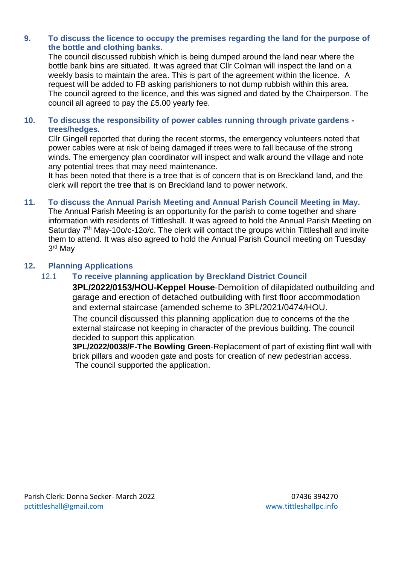## **9. To discuss the licence to occupy the premises regarding the land for the purpose of the bottle and clothing banks.**

The council discussed rubbish which is being dumped around the land near where the bottle bank bins are situated. It was agreed that Cllr Colman will inspect the land on a weekly basis to maintain the area. This is part of the agreement within the licence. A request will be added to FB asking parishioners to not dump rubbish within this area. The council agreed to the licence, and this was signed and dated by the Chairperson. The council all agreed to pay the £5.00 yearly fee.

## **10. To discuss the responsibility of power cables running through private gardens trees/hedges.**

Cllr Gingell reported that during the recent storms, the emergency volunteers noted that power cables were at risk of being damaged if trees were to fall because of the strong winds. The emergency plan coordinator will inspect and walk around the village and note any potential trees that may need maintenance.

It has been noted that there is a tree that is of concern that is on Breckland land, and the clerk will report the tree that is on Breckland land to power network.

# **11. To discuss the Annual Parish Meeting and Annual Parish Council Meeting in May.**

The Annual Parish Meeting is an opportunity for the parish to come together and share information with residents of Tittleshall. It was agreed to hold the Annual Parish Meeting on Saturday 7<sup>th</sup> May-10o/c-12o/c. The clerk will contact the groups within Tittleshall and invite them to attend. It was also agreed to hold the Annual Parish Council meeting on Tuesday 3 rd May

## **12. Planning Applications**

## 12.1 **To receive planning application by Breckland District Council**

**3PL/2022/0153/HOU-Keppel House**-Demolition of dilapidated outbuilding and garage and erection of detached outbuilding with first floor accommodation and external staircase (amended scheme to 3PL/2021/0474/HOU.

The council discussed this planning application due to concerns of the the external staircase not keeping in character of the previous building. The council decided to support this application.

**3PL/2022/0038/F-The Bowling Green**-Replacement of part of existing flint wall with brick pillars and wooden gate and posts for creation of new pedestrian access. The council supported the application.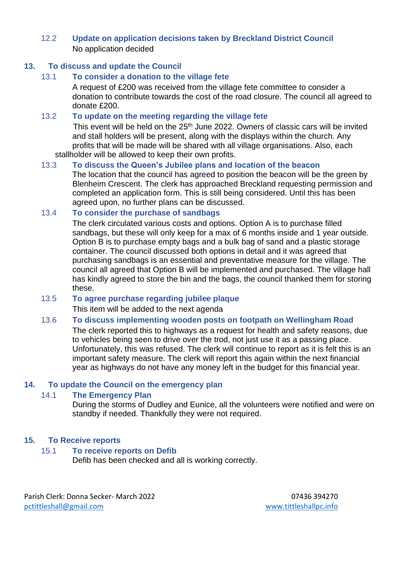## 12.2 **Update on application decisions taken by Breckland District Council** No application decided

## **13. To discuss and update the Council**

#### 13.1 **To consider a donation to the village fete**

A request of £200 was received from the village fete committee to consider a donation to contribute towards the cost of the road closure. The council all agreed to donate £200.

#### 13.2 **To update on the meeting regarding the village fete**

This event will be held on the 25<sup>th</sup> June 2022. Owners of classic cars will be invited and stall holders will be present, along with the displays within the church. Any profits that will be made will be shared with all village organisations. Also, each stallholder will be allowed to keep their own profits.

## 13.3 **To discuss the Queen's Jubilee plans and location of the beacon**

The location that the council has agreed to position the beacon will be the green by Blenheim Crescent. The clerk has approached Breckland requesting permission and completed an application form. This is still being considered. Until this has been agreed upon, no further plans can be discussed.

#### 13.4 **To consider the purchase of sandbags**

The clerk circulated various costs and options. Option A is to purchase filled sandbags, but these will only keep for a max of 6 months inside and 1 year outside. Option B is to purchase empty bags and a bulk bag of sand and a plastic storage container. The council discussed both options in detail and it was agreed that purchasing sandbags is an essential and preventative measure for the village. The council all agreed that Option B will be implemented and purchased. The village hall has kindly agreed to store the bin and the bags, the council thanked them for storing these.

#### 13.5 **To agree purchase regarding jubilee plaque**

This item will be added to the next agenda

#### 13.6 **To discuss implementing wooden posts on footpath on Wellingham Road**

The clerk reported this to highways as a request for health and safety reasons, due to vehicles being seen to drive over the trod, not just use it as a passing place. Unfortunately, this was refused. The clerk will continue to report as it is felt this is an important safety measure. The clerk will report this again within the next financial year as highways do not have any money left in the budget for this financial year.

#### **14. To update the Council on the emergency plan**

#### 14.1 **The Emergency Plan**

During the storms of Dudley and Eunice, all the volunteers were notified and were on standby if needed. Thankfully they were not required.

#### **15. To Receive reports**

#### 15.1 **To receive reports on Defib**

Defib has been checked and all is working correctly.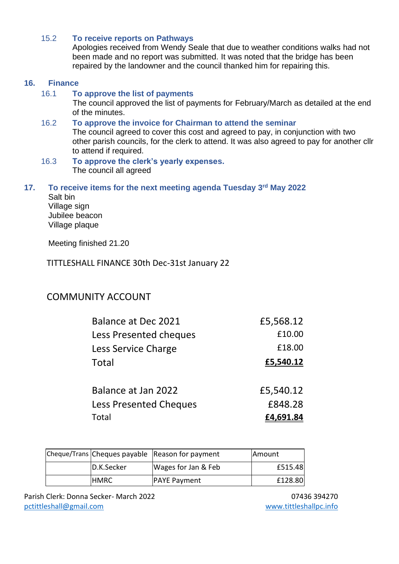## 15.2 **To receive reports on Pathways**

Apologies received from Wendy Seale that due to weather conditions walks had not been made and no report was submitted. It was noted that the bridge has been repaired by the landowner and the council thanked him for repairing this.

#### **16. Finance**

#### 16.1 **To approve the list of payments**

The council approved the list of payments for February/March as detailed at the end of the minutes.

#### 16.2 **To approve the invoice for Chairman to attend the seminar**

The council agreed to cover this cost and agreed to pay, in conjunction with two other parish councils, for the clerk to attend. It was also agreed to pay for another cllr to attend if required.

#### 16.3 **To approve the clerk's yearly expenses.**  The council all agreed

#### **17. To receive items for the next meeting agenda Tuesday 3rd May 2022**

Salt bin Village sign Jubilee beacon Village plaque

Meeting finished 21.20

## TITTLESHALL FINANCE 30th Dec-31st January 22

# COMMUNITY ACCOUNT

| Balance at Dec 2021    | £5,568.12 |
|------------------------|-----------|
| Less Presented cheques | £10.00    |
| Less Service Charge    | £18.00    |
| Total                  | £5,540.12 |
|                        |           |
| Balance at Jan 2022    | £5,540.12 |

| <b>Less Presented Cheques</b> | £848.28          |
|-------------------------------|------------------|
| Total                         | <u>£4,691.84</u> |

|             | Cheque/Trans Cheques payable Reason for payment | <b>IAmount</b> |
|-------------|-------------------------------------------------|----------------|
| D.K.Secker  | Wages for Jan & Feb                             | £515.48        |
| <b>HMRC</b> | <b>PAYE Payment</b>                             | £128.80        |